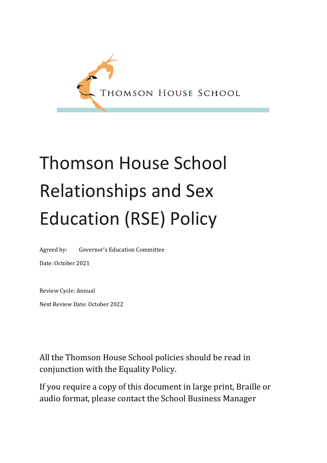

# Thomson House School Relationships and Sex Education (RSE) Policy

Agreed by: Governor's Education Committee

Date: October 2021

Review Cycle: Annual Next Review Date: October 2022

All the Thomson House School policies should be read in conjunction with the Equality Policy.

If you require a copy of this document in large print, Braille or audio format, please contact the School Business Manager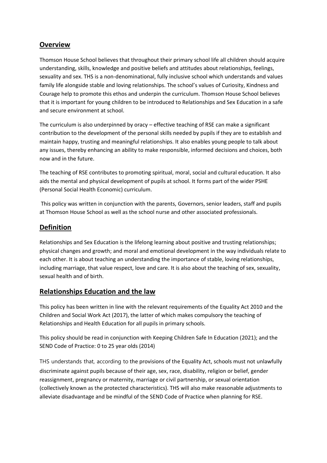#### **Overview**

Thomson House School believes that throughout their primary school life all children should acquire understanding, skills, knowledge and positive beliefs and attitudes about relationships, feelings, sexuality and sex. THS is a non-denominational, fully inclusive school which understands and values family life alongside stable and loving relationships. The school's values of Curiosity, Kindness and Courage help to promote this ethos and underpin the curriculum. Thomson House School believes that it is important for young children to be introduced to Relationships and Sex Education in a safe and secure environment at school.

The curriculum is also underpinned by oracy – effective teaching of RSE can make a significant contribution to the development of the personal skills needed by pupils if they are to establish and maintain happy, trusting and meaningful relationships. It also enables young people to talk about any issues, thereby enhancing an ability to make responsible, informed decisions and choices, both now and in the future.

The teaching of RSE contributes to promoting spiritual, moral, social and cultural education. It also aids the mental and physical development of pupils at school. It forms part of the wider PSHE (Personal Social Health Economic) curriculum.

This policy was written in conjunction with the parents, Governors, senior leaders, staff and pupils at Thomson House School as well as the school nurse and other associated professionals.

#### **Definition**

Relationships and Sex Education is the lifelong learning about positive and trusting relationships; physical changes and growth; and moral and emotional development in the way individuals relate to each other. It is about teaching an understanding the importance of stable, loving relationships, including marriage, that value respect, love and care. It is also about the teaching of sex, sexuality, sexual health and of birth.

#### **Relationships Education and the law**

This policy has been written in line with the relevant requirements of the Equality Act 2010 and the Children and Social Work Act (2017), the latter of which makes compulsory the teaching of Relationships and Health Education for all pupils in primary schools.

This policy should be read in conjunction with Keeping Children Safe In Education (2021); and the SEND Code of Practice: 0 to 25 year olds (2014)

THS understands that, according to the provisions of the Equality Act, schools must not unlawfully discriminate against pupils because of their age, sex, race, disability, religion or belief, gender reassignment, pregnancy or maternity, marriage or civil partnership, or sexual orientation (collectively known as the protected characteristics). THS will also make reasonable adjustments to alleviate disadvantage and be mindful of the SEND Code of Practice when planning for RSE.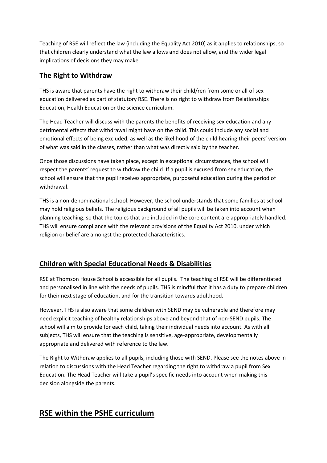Teaching of RSE will reflect the law (including the Equality Act 2010) as it applies to relationships, so that children clearly understand what the law allows and does not allow, and the wider legal implications of decisions they may make.

#### **The Right to Withdraw**

THS is aware that parents have the right to withdraw their child/ren from some or all of sex education delivered as part of statutory RSE. There is no right to withdraw from Relationships Education, Health Education or the science curriculum.

The Head Teacher will discuss with the parents the benefits of receiving sex education and any detrimental effects that withdrawal might have on the child. This could include any social and emotional effects of being excluded, as well as the likelihood of the child hearing their peers' version of what was said in the classes, rather than what was directly said by the teacher.

Once those discussions have taken place, except in exceptional circumstances, the school will respect the parents' request to withdraw the child. If a pupil is excused from sex education, the school will ensure that the pupil receives appropriate, purposeful education during the period of withdrawal.

THS is a non-denominational school. However, the school understands that some families at school may hold religious beliefs. The religious background of all pupils will be taken into account when planning teaching, so that the topics that are included in the core content are appropriately handled. THS will ensure compliance with the relevant provisions of the Equality Act 2010, under which religion or belief are amongst the protected characteristics.

## **Children with Special Educational Needs & Disabilities**

RSE at Thomson House School is accessible for all pupils. The teaching of RSE will be differentiated and personalised in line with the needs of pupils. THS is mindful that it has a duty to prepare children for their next stage of education, and for the transition towards adulthood.

However, THS is also aware that some children with SEND may be vulnerable and therefore may need explicit teaching of healthy relationships above and beyond that of non-SEND pupils. The school will aim to provide for each child, taking their individual needs into account. As with all subjects, THS will ensure that the teaching is sensitive, age-appropriate, developmentally appropriate and delivered with reference to the law.

The Right to Withdraw applies to all pupils, including those with SEND. Please see the notes above in relation to discussions with the Head Teacher regarding the right to withdraw a pupil from Sex Education. The Head Teacher will take a pupil's specific needs into account when making this decision alongside the parents.

# **RSE within the PSHE curriculum**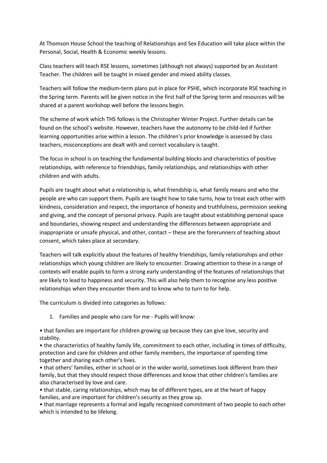At Thomson House School the teaching of Relationships and Sex Education will take place within the Personal, Social, Health & Economic weekly lessons.

Class teachers will teach RSE lessons, sometimes (although not always) supported by an Assistant Teacher. The children will be taught in mixed gender and mixed ability classes.

Teachers will follow the medium-term plans put in place for PSHE, which incorporate RSE teaching in the Spring term. Parents will be given notice in the first half of the Spring term and resources will be shared at a parent workshop well before the lessons begin.

The scheme of work which THS follows is the Christopher Winter Project. Further details can be found on the school's website. However, teachers have the autonomy to be child-led if further learning opportunities arise within a lesson. The children's prior knowledge is assessed by class teachers, misconceptions are dealt with and correct vocabulary is taught.

The focus in school is on teaching the fundamental building blocks and characteristics of positive relationships, with reference to friendships, family relationships, and relationships with other children and with adults.

Pupils are taught about what a relationship is, what friendship is, what family means and who the people are who can support them. Pupils are taught how to take turns, how to treat each other with kindness, consideration and respect, the importance of honesty and truthfulness, permission seeking and giving, and the concept of personal privacy. Pupils are taught about establishing personal space and boundaries, showing respect and understanding the differences between appropriate and inappropriate or unsafe physical, and other, contact – these are the forerunners of teaching about consent, which takes place at secondary.

Teachers will talk explicitly about the features of healthy friendships, family relationships and other relationships which young children are likely to encounter. Drawing attention to these in a range of contexts will enable pupils to form a strong early understanding of the features of relationships that are likely to lead to happiness and security. This will also help them to recognise any less positive relationships when they encounter them and to know who to turn to for help.

The curriculum is divided into categories as follows:

1. Families and people who care for me - Pupils will know:

• that families are important for children growing up because they can give love, security and stability.

• the characteristics of healthy family life, commitment to each other, including in times of difficulty, protection and care for children and other family members, the importance of spending time together and sharing each other's lives.

• that others' families, either in school or in the wider world, sometimes look different from their family, but that they should respect those differences and know that other children's families are also characterised by love and care.

• that stable, caring relationships, which may be of different types, are at the heart of happy families, and are important for children's security as they grow up.

• that marriage represents a formal and legally recognised commitment of two people to each other which is intended to be lifelong.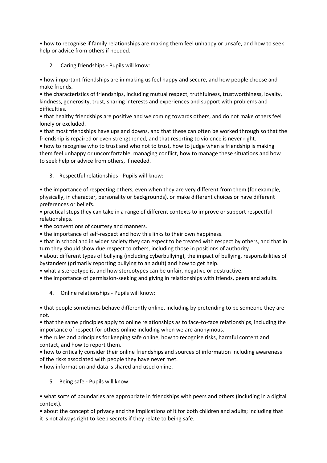• how to recognise if family relationships are making them feel unhappy or unsafe, and how to seek help or advice from others if needed.

2. Caring friendships - Pupils will know:

• how important friendships are in making us feel happy and secure, and how people choose and make friends.

• the characteristics of friendships, including mutual respect, truthfulness, trustworthiness, loyalty, kindness, generosity, trust, sharing interests and experiences and support with problems and difficulties.

• that healthy friendships are positive and welcoming towards others, and do not make others feel lonely or excluded.

• that most friendships have ups and downs, and that these can often be worked through so that the friendship is repaired or even strengthened, and that resorting to violence is never right.

• how to recognise who to trust and who not to trust, how to judge when a friendship is making them feel unhappy or uncomfortable, managing conflict, how to manage these situations and how to seek help or advice from others, if needed.

3. Respectful relationships - Pupils will know:

• the importance of respecting others, even when they are very different from them (for example, physically, in character, personality or backgrounds), or make different choices or have different preferences or beliefs.

• practical steps they can take in a range of different contexts to improve or support respectful relationships.

• the conventions of courtesy and manners.

• the importance of self-respect and how this links to their own happiness.

• that in school and in wider society they can expect to be treated with respect by others, and that in turn they should show due respect to others, including those in positions of authority.

• about different types of bullying (including cyberbullying), the impact of bullying, responsibilities of bystanders (primarily reporting bullying to an adult) and how to get help.

• what a stereotype is, and how stereotypes can be unfair, negative or destructive.

• the importance of permission-seeking and giving in relationships with friends, peers and adults.

4. Online relationships - Pupils will know:

• that people sometimes behave differently online, including by pretending to be someone they are not.

• that the same principles apply to online relationships as to face-to-face relationships, including the importance of respect for others online including when we are anonymous.

• the rules and principles for keeping safe online, how to recognise risks, harmful content and contact, and how to report them.

• how to critically consider their online friendships and sources of information including awareness of the risks associated with people they have never met.

• how information and data is shared and used online.

5. Being safe - Pupils will know:

• what sorts of boundaries are appropriate in friendships with peers and others (including in a digital context).

• about the concept of privacy and the implications of it for both children and adults; including that it is not always right to keep secrets if they relate to being safe.